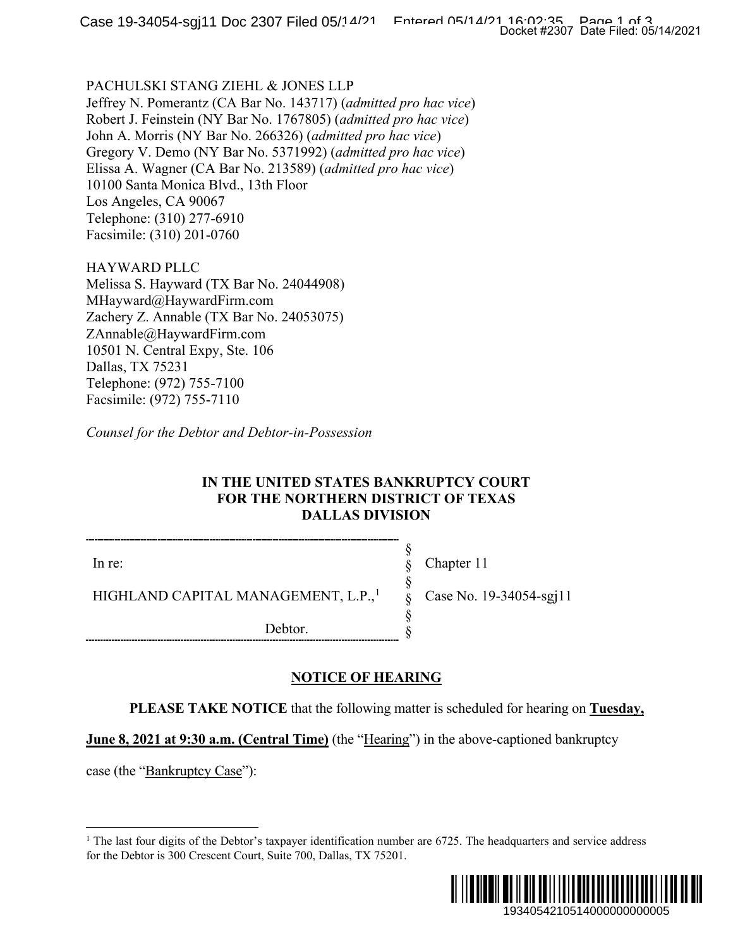### PACHULSKI STANG ZIEHL & JONES LLP

Jeffrey N. Pomerantz (CA Bar No. 143717) (*admitted pro hac vice*) Robert J. Feinstein (NY Bar No. 1767805) (*admitted pro hac vice*) John A. Morris (NY Bar No. 266326) (*admitted pro hac vice*) Gregory V. Demo (NY Bar No. 5371992) (*admitted pro hac vice*) Elissa A. Wagner (CA Bar No. 213589) (*admitted pro hac vice*) 10100 Santa Monica Blvd., 13th Floor Los Angeles, CA 90067 Telephone: (310) 277-6910 Facsimile: (310) 201-0760

HAYWARD PLLC Melissa S. Hayward (TX Bar No. 24044908) MHayward@HaywardFirm.com Zachery Z. Annable (TX Bar No. 24053075) ZAnnable@HaywardFirm.com 10501 N. Central Expy, Ste. 106 Dallas, TX 75231 Telephone: (972) 755-7100 Facsimile: (972) 755-7110

*Counsel for the Debtor and Debtor-in-Possession*

## **IN THE UNITED STATES BANKRUPTCY COURT FOR THE NORTHERN DISTRICT OF TEXAS DALLAS DIVISION**

In re:

Chapter 11

Case No. 19-34054-sgj11

HIGHLAND CAPITAL MANAGEMENT, L.P.,<sup>[1](#page-0-0)</sup>

Debtor.

# **NOTICE OF HEARING**

**PLEASE TAKE NOTICE** that the following matter is scheduled for hearing on **Tuesday,** 

§ § § § § §

**June 8, 2021 at 9:30 a.m.** (Central Time) (the "Hearing") in the above-captioned bankruptcy

<span id="page-0-0"></span>case (the "Bankruptcy Case"):

<sup>&</sup>lt;sup>1</sup> The last four digits of the Debtor's taxpayer identification number are  $6725$ . The headquarters and service address for the Debtor is 300 Crescent Court, Suite 700, Dallas, TX 75201.

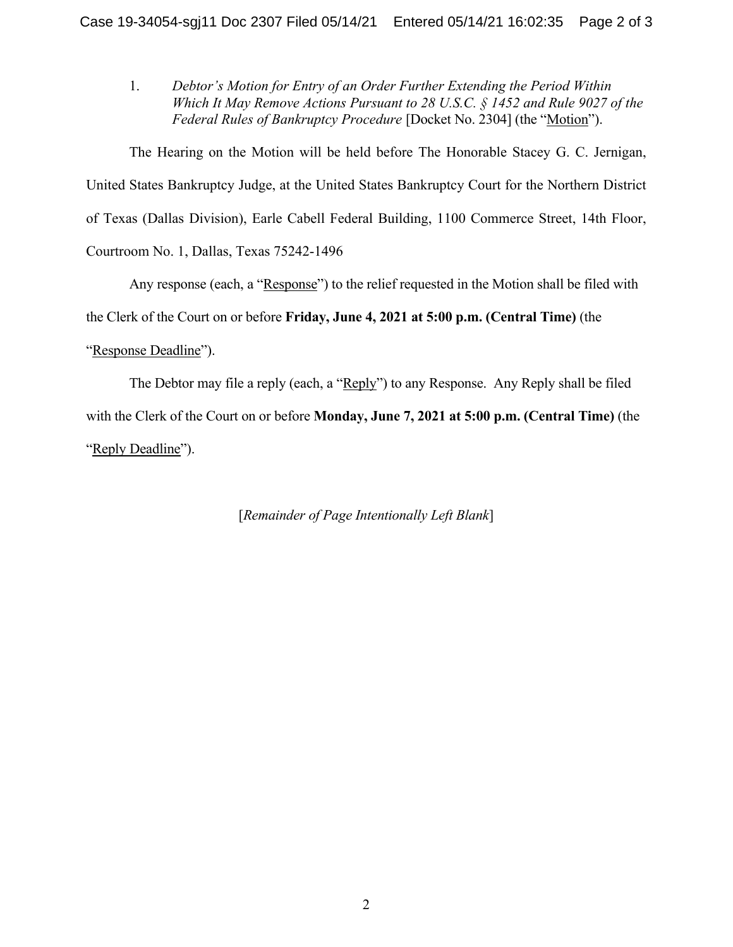1. *Debtor's Motion for Entry of an Order Further Extending the Period Within Which It May Remove Actions Pursuant to 28 U.S.C. § 1452 and Rule 9027 of the Federal Rules of Bankruptcy Procedure* [Docket No. 2304] (the "Motion").

The Hearing on the Motion will be held before The Honorable Stacey G. C. Jernigan, United States Bankruptcy Judge, at the United States Bankruptcy Court for the Northern District of Texas (Dallas Division), Earle Cabell Federal Building, 1100 Commerce Street, 14th Floor, Courtroom No. 1, Dallas, Texas 75242-1496

Any response (each, a "Response") to the relief requested in the Motion shall be filed with

the Clerk of the Court on or before **Friday, June 4, 2021 at 5:00 p.m. (Central Time)** (the

## "Response Deadline").

The Debtor may file a reply (each, a "Reply") to any Response. Any Reply shall be filed with the Clerk of the Court on or before **Monday, June 7, 2021 at 5:00 p.m. (Central Time)** (the "Reply Deadline").

[*Remainder of Page Intentionally Left Blank*]